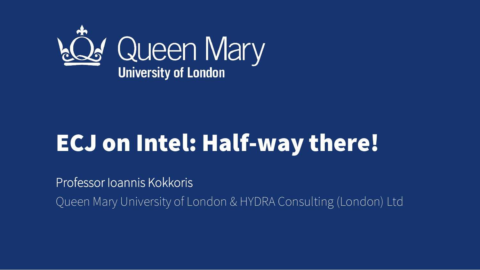

# ECJ on Intel: Half-way there!

Professor Ioannis Kokkoris

Queen Mary University of London & HYDRA Consulting (London) Ltd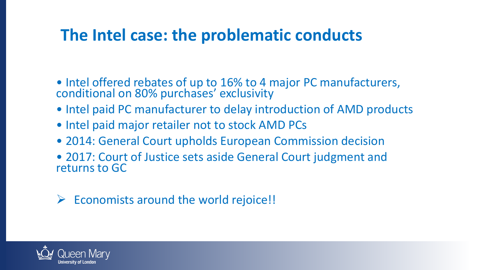# **The Intel case: the problematic conducts**

- Intel offered rebates of up to 16% to 4 major PC manufacturers, conditional on 80% purchases' exclusivity
- Intel paid PC manufacturer to delay introduction of AMD products
- Intel paid major retailer not to stock AMD PCs
- 2014: General Court upholds European Commission decision
- 2017: Court of Justice sets aside General Court judgment and returns to GC
- $\triangleright$  Economists around the world rejoice!!

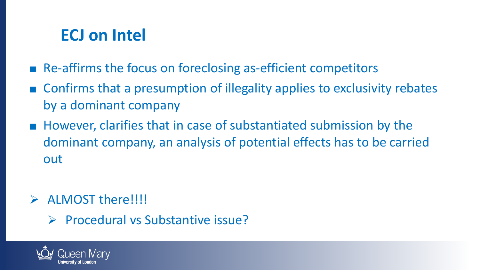### **ECJ on Intel**

- Re-affirms the focus on foreclosing as-efficient competitors
- Confirms that a presumption of illegality applies to exclusivity rebates by a dominant company
- However, clarifies that in case of substantiated submission by the dominant company, an analysis of potential effects has to be carried out

#### > ALMOST there!!!!

 $\triangleright$  Procedural vs Substantive issue?

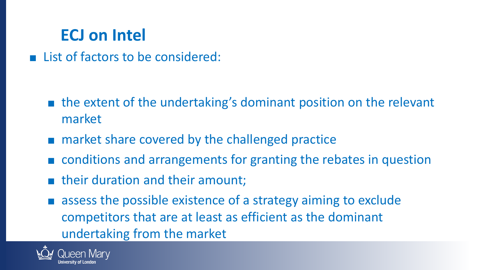### **ECJ on Intel**

■ List of factors to be considered:

- the extent of the undertaking's dominant position on the relevant market
- market share covered by the challenged practice
- conditions and arrangements for granting the rebates in question
- their duration and their amount;
- assess the possible existence of a strategy aiming to exclude competitors that are at least as efficient as the dominant undertaking from the market

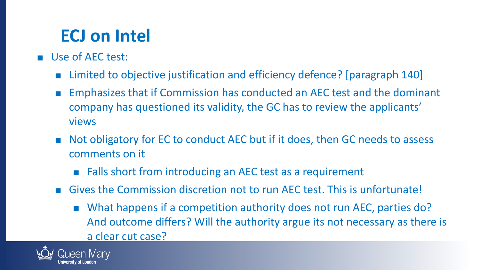# **ECJ on Intel**

- Use of AEC test:
	- Limited to objective justification and efficiency defence? [paragraph 140]
	- Emphasizes that if Commission has conducted an AEC test and the dominant company has questioned its validity, the GC has to review the applicants' views
	- Not obligatory for EC to conduct AEC but if it does, then GC needs to assess comments on it
		- Falls short from introducing an AEC test as a requirement
	- Gives the Commission discretion not to run AEC test. This is unfortunate!
		- What happens if a competition authority does not run AEC, parties do? And outcome differs? Will the authority argue its not necessary as there is a clear cut case?

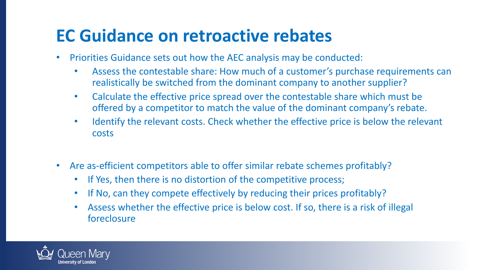# **EC Guidance on retroactive rebates**

- Priorities Guidance sets out how the AEC analysis may be conducted:
	- Assess the contestable share: How much of a customer's purchase requirements can realistically be switched from the dominant company to another supplier?
	- Calculate the effective price spread over the contestable share which must be offered by a competitor to match the value of the dominant company's rebate.
	- Identify the relevant costs. Check whether the effective price is below the relevant costs
- Are as-efficient competitors able to offer similar rebate schemes profitably?
	- If Yes, then there is no distortion of the competitive process;
	- If No, can they compete effectively by reducing their prices profitably?
	- Assess whether the effective price is below cost. If so, there is a risk of illegal foreclosure

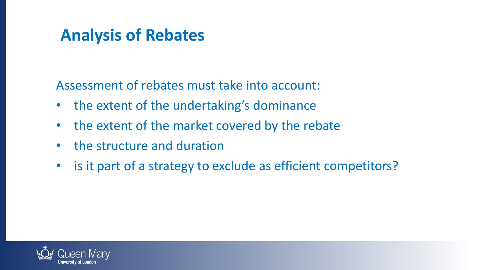# **Analysis of Rebates**

Assessment of rebates must take into account:

- the extent of the undertaking's dominance
- the extent of the market covered by the rebate
- the structure and duration
- is it part of a strategy to exclude as efficient competitors?

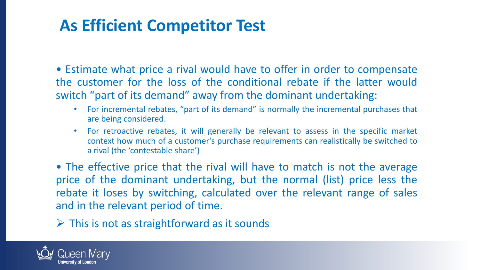# **As Efficient Competitor Test**

• Estimate what price a rival would have to offer in order to compensate the customer for the loss of the conditional rebate if the latter would switch "part of its demand" away from the dominant undertaking:

- For incremental rebates, "part of its demand" is normally the incremental purchases that are being considered.
- For retroactive rebates, it will generally be relevant to assess in the specific market context how much of a customer's purchase requirements can realistically be switched to a rival (the 'contestable share')

• The effective price that the rival will have to match is not the average price of the dominant undertaking, but the normal (list) price less the rebate it loses by switching, calculated over the relevant range of sales and in the relevant period of time.

 $\triangleright$  This is not as straightforward as it sounds

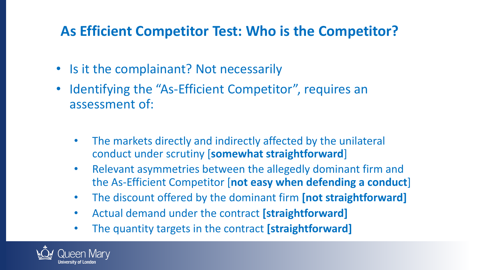#### **As Efficient Competitor Test: Who is the Competitor?**

- Is it the complainant? Not necessarily
- Identifying the "As-Efficient Competitor", requires an assessment of:
	- The markets directly and indirectly affected by the unilateral conduct under scrutiny [**somewhat straightforward**]
	- Relevant asymmetries between the allegedly dominant firm and the As-Efficient Competitor [**not easy when defending a conduct**]
	- The discount offered by the dominant firm **[not straightforward]**
	- Actual demand under the contract **[straightforward]**
	- The quantity targets in the contract **[straightforward]**

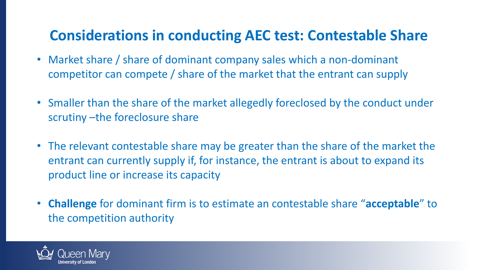#### **Considerations in conducting AEC test: Contestable Share**

- Market share / share of dominant company sales which a non-dominant competitor can compete / share of the market that the entrant can supply
- Smaller than the share of the market allegedly foreclosed by the conduct under scrutiny –the foreclosure share
- The relevant contestable share may be greater than the share of the market the entrant can currently supply if, for instance, the entrant is about to expand its product line or increase its capacity
- **Challenge** for dominant firm is to estimate an contestable share "**acceptable**" to the competition authority

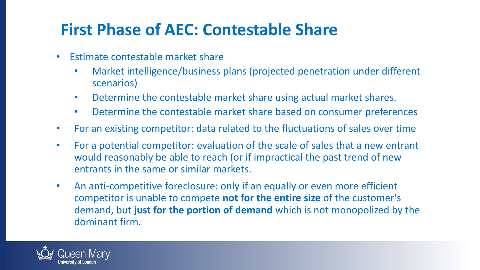# **First Phase of AEC: Contestable Share**

- Estimate contestable market share
	- Market intelligence/business plans (projected penetration under different scenarios)
	- Determine the contestable market share using actual market shares.
	- Determine the contestable market share based on consumer preferences
- For an existing competitor: data related to the fluctuations of sales over time
- For a potential competitor: evaluation of the scale of sales that a new entrant would reasonably be able to reach (or if impractical the past trend of new entrants in the same or similar markets.
- An anti-competitive foreclosure: only if an equally or even more efficient competitor is unable to compete **not for the entire size** of the customer's demand, but **just for the portion of demand** which is not monopolized by the dominant firm.

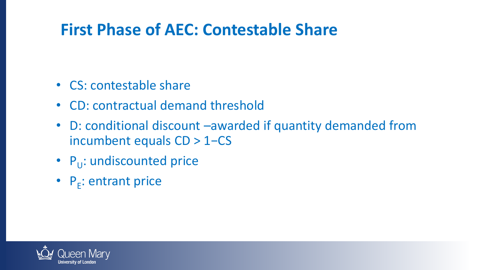# **First Phase of AEC: Contestable Share**

- CS: contestable share
- CD: contractual demand threshold
- D: conditional discount –awarded if quantity demanded from incumbent equals CD > 1−CS
- P<sub>U</sub>: undiscounted price
- $P_E$ : entrant price

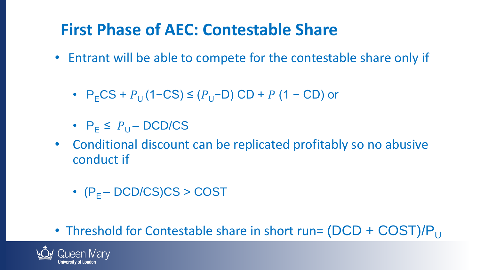# **First Phase of AEC: Contestable Share**

- Entrant will be able to compete for the contestable share only if
	- P<sub>F</sub>CS +  $P_{11}$  (1−CS) ≤ ( $P_{11}$ –D) CD + P (1 CD) or
	- $P_E \leq P_{U} DCD/CS$
- Conditional discount can be replicated profitably so no abusive conduct if
	- $(P_E DCD/CS)CS > COST$
- Threshold for Contestable share in short run=  $(DCD + COST)/P_{U}$

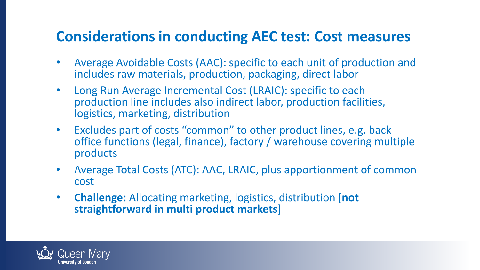#### **Considerations in conducting AEC test: Cost measures**

- Average Avoidable Costs (AAC): specific to each unit of production and includes raw materials, production, packaging, direct labor
- Long Run Average Incremental Cost (LRAIC): specific to each production line includes also indirect labor, production facilities, logistics, marketing, distribution
- Excludes part of costs "common" to other product lines, e.g. back office functions (legal, finance), factory / warehouse covering multiple products
- Average Total Costs (ATC): AAC, LRAIC, plus apportionment of common cost
- **Challenge:** Allocating marketing, logistics, distribution [**not straightforward in multi product markets**]

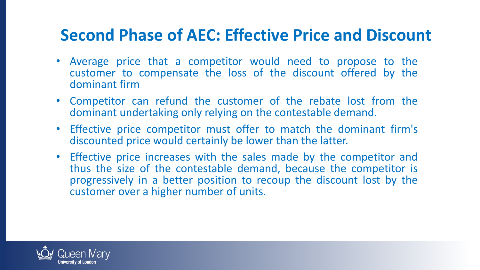## **Second Phase of AEC: Effective Price and Discount**

- Average price that a competitor would need to propose to the customer to compensate the loss of the discount offered by the dominant firm
- Competitor can refund the customer of the rebate lost from the dominant undertaking only relying on the contestable demand.
- Effective price competitor must offer to match the dominant firm's discounted price would certainly be lower than the latter.
- Effective price increases with the sales made by the competitor and thus the size of the contestable demand, because the competitor is progressively in a better position to recoup the discount lost by the customer over a higher number of units.

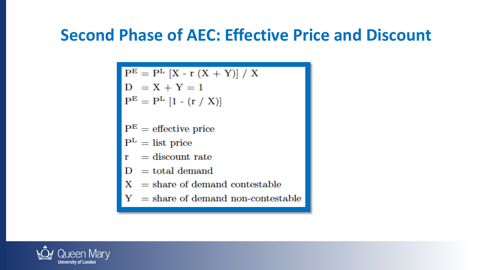#### **Second Phase of AEC: Effective Price and Discount**

 $\begin{aligned} \mathbf{P}^{\mathrm{E}} &= \mathbf{P}^{\mathrm{L}} \left[ X - \mathbf{r} \left( X + Y \right) \right] \, / \, X \\ \mathbf{D} &= X + Y = 1 \\ \mathbf{P}^{\mathrm{E}} &= \mathbf{P}^{\mathrm{L}} \left[ 1 - (\mathbf{r} \, / \, X) \right] \\ \mathbf{P}^{\mathrm{E}} &= \text{effective price} \\ \mathbf{P}^{\mathrm{L}} &= \text{list price} \\ \end{aligned}$ 

- 
- 
- 
- 
- 
- 
- $\begin{array}{ll} \mbox{$\rm I$} & = \mbox{discount rate} \\ \mbox{$\rm I$} & = \mbox{total demand} \\ \mbox{$\rm X$} & = \mbox{share of demand contestable} \\ \mbox{$\rm Y$} & = \mbox{share of demand non-constable} \end{array}$

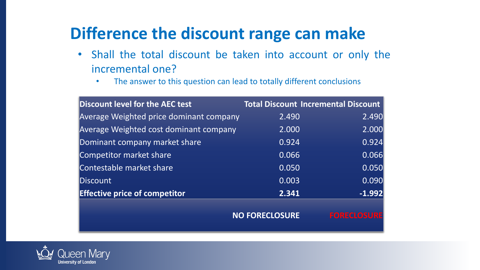# **Difference the discount range can make**

- Shall the total discount be taken into account or only the incremental one?
	- The answer to this question can lead to totally different conclusions

| <b>Discount level for the AEC test</b>  |                       | <b>Total Discount Incremental Discount</b> |
|-----------------------------------------|-----------------------|--------------------------------------------|
| Average Weighted price dominant company | 2.490                 | 2.490                                      |
| Average Weighted cost dominant company  | 2.000                 | 2.000                                      |
| Dominant company market share           | 0.924                 | 0.924                                      |
| Competitor market share                 | 0.066                 | 0.066                                      |
| Contestable market share                | 0.050                 | 0.050                                      |
| <b>Discount</b>                         | 0.003                 | 0.090                                      |
| <b>Effective price of competitor</b>    | 2.341                 | $-1.992$                                   |
|                                         | <b>NO FORECLOSURE</b> | <b>FORECLOSURE</b>                         |

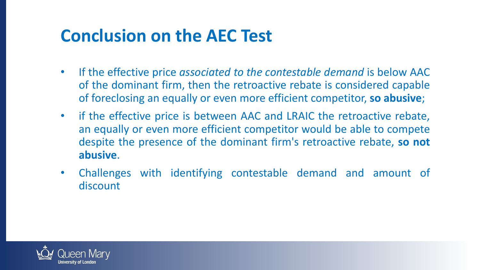# **Conclusion on the AEC Test**

- If the effective price *associated to the contestable demand* is below AAC of the dominant firm, then the retroactive rebate is considered capable of foreclosing an equally or even more efficient competitor, **so abusive**;
- if the effective price is between AAC and LRAIC the retroactive rebate, an equally or even more efficient competitor would be able to compete despite the presence of the dominant firm's retroactive rebate, **so not abusive**.
- Challenges with identifying contestable demand and amount of discount

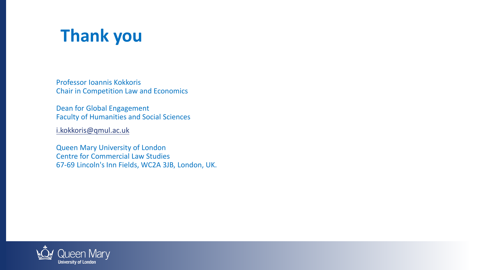

Professor Ioannis Kokkoris Chair in Competition Law and Economics

Dean for Global Engagement Faculty of Humanities and Social Sciences

[i.kokkoris@qmul.ac.uk](mailto:i.kokkoris@qmul.ac.uk)

Queen Mary University of London Centre for Commercial Law Studies 67-69 Lincoln's Inn Fields, WC2A 3JB, London, UK.